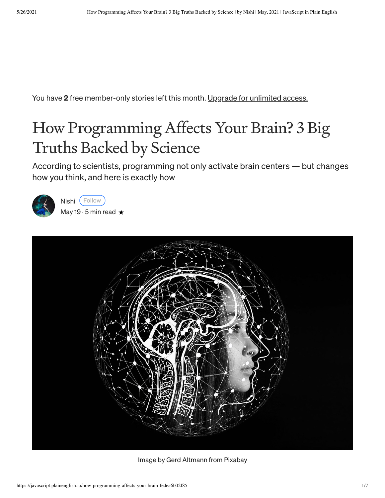You have 2 free member-only stories left this month. Upgrade for [unlimited](https://medium.com/plans?source=upgrade_membership---post_counter--fedea6b02f85--------------------------------) access.

### How Programming Affects Your Brain? 3 Big Truths Backed by Science

According to scientists, programming not only activate brain centers — but changes how you think, and here is exactly how



[Nishi](https://nishikashyap359.medium.com/?source=post_page-----fedea6b02f85--------------------------------) (Follow [May](https://javascript.plainenglish.io/how-programming-affects-your-brain-fedea6b02f85?source=post_page-----fedea6b02f85--------------------------------) 19  $\cdot$  5 min read  $\star$ 



Image by Gerd [Altmann](https://pixabay.com/users/geralt-9301/?utm_source=link-attribution&utm_medium=referral&utm_campaign=image&utm_content=4389372) from [Pixabay](https://pixabay.com/?utm_source=link-attribution&utm_medium=referral&utm_campaign=image&utm_content=4389372)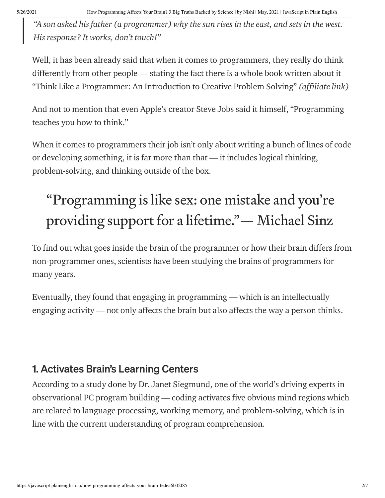"A son asked his father (a programmer) why the sun rises in the east, and sets in the west. His response? It works, don't touch!"

Well, it has been already said that when it comes to programmers, they really do think differently from other people — stating the fact there is a whole book written about it "Think Like a [Programmer:](https://www.amazon.in/gp/product/1593274246/ref=as_li_tl?ie=UTF8&camp=3638&creative=24630&creativeASIN=1593274246&linkCode=as2&tag=2026030-21&linkId=6028998907a73e1ef81b8a62c558f034) An Introduction to Creative Problem Solving" (affiliate link)

And not to mention that even Apple's creator Steve Jobs said it himself, "Programming teaches you how to think."

When it comes to programmers their job isn't only about writing a bunch of lines of code or developing something, it is far more than that — it includes logical thinking, problem-solving, and thinking outside of the box.

## "Programming islike sex: one mistake and you're providing support for a lifetime." - Michael Sinz

To find out what goes inside the brain of the programmer or how their brain differs from non-programmer ones, scientists have been studying the brains of programmers for many years.

Eventually, they found that engaging in programming — which is an intellectually engaging activity — not only affects the brain but also affects the way a person thinks.

### 1. Activates Brain's Learning Centers

According to a [study](https://kilthub.cmu.edu/articles/journal_contribution/Understanding_Understanding_Source_Code_with_Functional_Magnetic_Resonance_Imaging/6626357) done by Dr. Janet Siegmund, one of the world's driving experts in observational PC program building — coding activates five obvious mind regions which are related to language processing, working memory, and problem-solving, which is in line with the current understanding of program comprehension.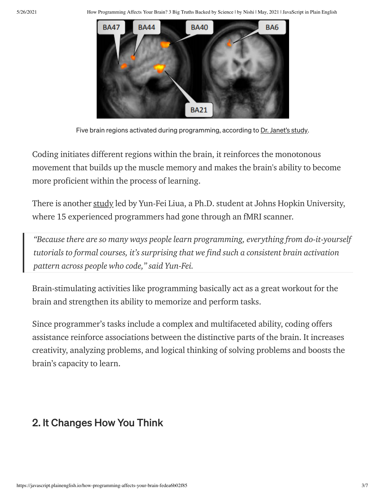5/26/2021 How Programming Affects Your Brain? 3 Big Truths Backed by Science | by Nishi | May, 2021 | JavaScript in Plain English



Five brain regions activated during programming, according to Dr. [Janet's](http://www.cs.cmu.edu/~ckaestne/pdf/icse14_fmri.pdf) study.

Coding initiates different regions within the brain, it reinforces the monotonous movement that builds up the muscle memory and makes the brain's ability to become more proficient within the process of learning.

There is another [study](https://hub.jhu.edu/2020/12/17/brain-activity-while-reading-code/) led by Yun-Fei Liua, a Ph.D. student at Johns Hopkin University, where 15 experienced programmers had gone through an fMRI scanner.

"Because there are so many ways people learn programming, everything from do-it-yourself tutorials to formal courses, it's surprising that we find such a consistent brain activation pattern across people who code," said Yun-Fei.

Brain-stimulating activities like programming basically act as a great workout for the brain and strengthen its ability to memorize and perform tasks.

Since programmer's tasks include a complex and multifaceted ability, coding offers assistance reinforce associations between the distinctive parts of the brain. It increases creativity, analyzing problems, and logical thinking of solving problems and boosts the brain's capacity to learn.

### 2. It Changes How You Think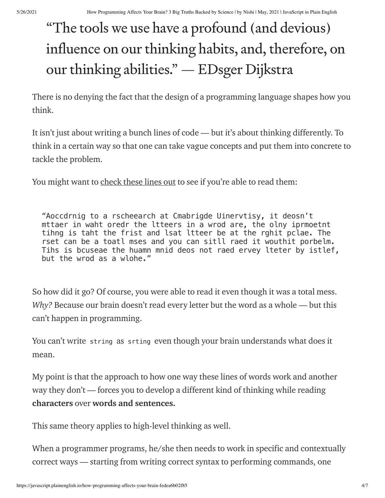# "The tools we use have a profound (and devious) influence on our thinking habits, and, therefore, on our thinking abilities." — EDsger Dijkstra

There is no denying the fact that the design of a programming language shapes how you think.

It isn't just about writing a bunch lines of code — but it's about thinking differently. To think in a certain way so that one can take vague concepts and put them into concrete to tackle the problem.

You might want to [check](https://www.dictionary.com/e/typoglycemia/) these lines out to see if you're able to read them:

"Aoccdrnig to a rscheearch at Cmabrigde Uinervtisy, it deosn't mttaer in waht oredr the ltteers in a wrod are, the olny iprmoetnt tihng is taht the frist and lsat ltteer be at the rghit pclae. The rset can be a toatl mses and you can sitll raed it wouthit porbelm. Tihs is bcuseae the huamn mnid deos not raed ervey lteter by istlef, but the wrod as a wlohe."

So how did it go? Of course, you were able to read it even though it was a total mess. Why? Because our brain doesn't read every letter but the word as a whole — but this can't happen in programming.

You can't write string as srting even though your brain understands what does it mean.

My point is that the approach to how one way these lines of words work and another way they don't — forces you to develop a different kind of thinking while reading characters over words and sentences.

This same theory applies to high-level thinking as well.

When a programmer programs, he/she then needs to work in specific and contextually correct ways — starting from writing correct syntax to performing commands, one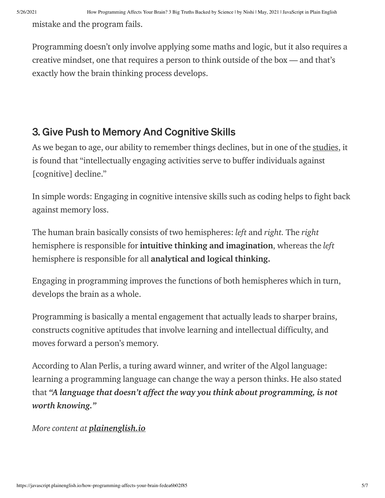mistake and the program fails.

Programming doesn't only involve applying some maths and logic, but it also requires a creative mindset, one that requires a person to think outside of the box — and that's exactly how the brain thinking process develops.

### 3. Give Push to Memory And Cognitive Skills

As we began to age, our ability to remember things declines, but in one of the [studies](https://www.ncbi.nlm.nih.gov/pubmed/10403712), it is found that "intellectually engaging activities serve to buffer individuals against [cognitive] decline."

In simple words: Engaging in cognitive intensive skills such as coding helps to fight back against memory loss.

The human brain basically consists of two hemispheres: left and right. The right hemisphere is responsible for intuitive thinking and imagination, whereas the left hemisphere is responsible for all analytical and logical thinking.

Engaging in programming improves the functions of both hemispheres which in turn, develops the brain as a whole.

Programming is basically a mental engagement that actually leads to sharper brains, constructs cognitive aptitudes that involve learning and intellectual difficulty, and moves forward a person's memory.

According to Alan Perlis, a turing award winner, and writer of the Algol language: learning a programming language can change the way a person thinks. He also stated that "A language that doesn't affect the way you think about programming, is not worth knowing."

More content at *[plainenglish.io](http://plainenglish.io/)*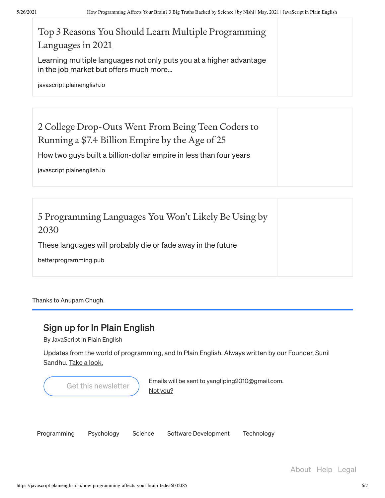| Top 3 Reasons You Should Learn Multiple Programming<br>Languages in 2021                                      |  |
|---------------------------------------------------------------------------------------------------------------|--|
| Learning multiple languages not only puts you at a higher advantage<br>in the job market but offers much more |  |
| javascript.plainenglish.io                                                                                    |  |

| 2 College Drop-Outs Went From Being Teen Coders to<br>Running a \$7.4 Billion Empire by the Age of 25 |  |
|-------------------------------------------------------------------------------------------------------|--|
| How two guys built a billion-dollar empire in less than four years                                    |  |
| javascript.plainenglish.io                                                                            |  |

| 5 Programming Languages You Won't Likely Be Using by<br>2030 |  |
|--------------------------------------------------------------|--|
| These languages will probably die or fade away in the future |  |
| betterprogramming.pub                                        |  |

Thanks to Anupam Chugh.

#### Sign up for In Plain English

By JavaScript in Plain English

Updates from the world of programming, and In Plain English. Always written by our Founder, Sunil Sandhu. Take a [look.](https://medium.com/javascript-in-plain-english/newsletters/in-plain-english?source=newsletter_v3_promo--------------------------newsletter_v3_promo-----------)